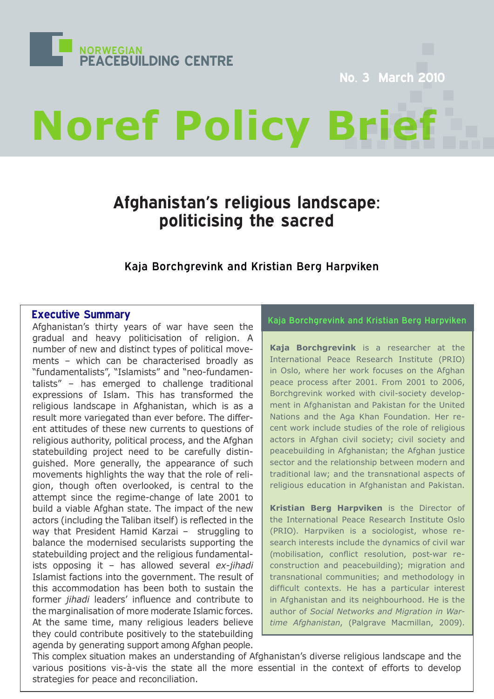

No. 3 March

# **Noref Policy**

# **Afghanistan's religious landscape: politicising the sacred**

# Kaja Borchgrevink and Kristian Berg Harpviken

# **Executive Summary**

Afghanistan's thirty years of war have seen the gradual and heavy politicisation of religion. A number of new and distinct types of political movements – which can be characterised broadly as "fundamentalists", "Islamists" and "neo-fundamentalists" – has emerged to challenge traditional expressions of Islam. This has transformed the religious landscape in Afghanistan, which is as a result more variegated than ever before. The different attitudes of these new currents to questions of religious authority, political process, and the Afghan statebuilding project need to be carefully distinguished. More generally, the appearance of such movements highlights the way that the role of religion, though often overlooked, is central to the attempt since the regime-change of late 2001 to build a viable Afghan state. The impact of the new actors (including the Taliban itself) is reflected in the way that President Hamid Karzai – struggling to balance the modernised secularists supporting the statebuilding project and the religious fundamentalists opposing it – has allowed several *ex-jihadi* Islamist factions into the government. The result of this accommodation has been both to sustain the former *jihadi* leaders' influence and contribute to the marginalisation of more moderate Islamic forces. At the same time, many religious leaders believe they could contribute positively to the statebuilding agenda by generating support among Afghan people.

# Kaja Borchgrevink and Kristian Berg Harpviken

**Kaja Borchgrevink** is a researcher at the International Peace Research Institute (PRIO) in Oslo, where her work focuses on the Afghan peace process after 2001. From 2001 to 2006, Borchgrevink worked with civil-society development in Afghanistan and Pakistan for the United Nations and the Aga Khan Foundation. Her recent work include studies of the role of religious actors in Afghan civil society; civil society and peacebuilding in Afghanistan; the Afghan justice sector and the relationship between modern and traditional law; and the transnational aspects of religious education in Afghanistan and Pakistan.

**Kristian Berg Harpviken** is the Director of the International Peace Research Institute Oslo (PRIO). Harpviken is a sociologist, whose research interests include the dynamics of civil war (mobilisation, conflict resolution, post-war reconstruction and peacebuilding); migration and transnational communities; and methodology in difficult contexts. He has a particular interest in Afghanistan and its neighbourhood. He is the author of *Social Networks and Migration in Wartime Afghanistan*, (Palgrave Macmillan, 2009).

This complex situation makes an understanding of Afghanistan's diverse religious landscape and the various positions vis-à-vis the state all the more essential in the context of efforts to develop strategies for peace and reconciliation.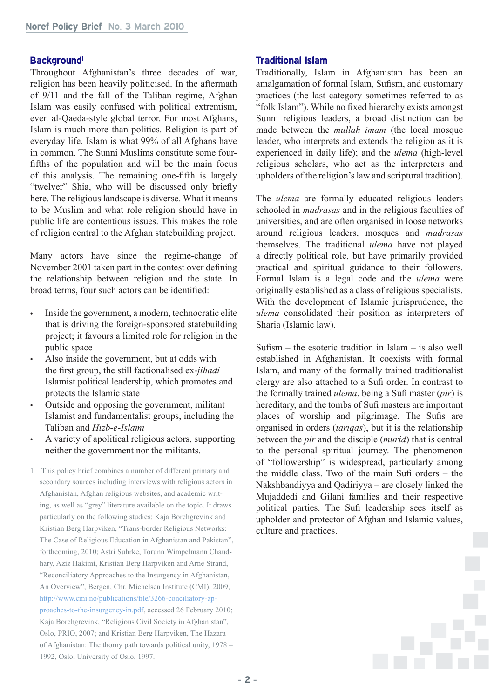### **Background1**

Throughout Afghanistan's three decades of war, religion has been heavily politicised. In the aftermath of 9/11 and the fall of the Taliban regime, Afghan Islam was easily confused with political extremism, even al-Qaeda-style global terror. For most Afghans, Islam is much more than politics. Religion is part of everyday life. Islam is what 99% of all Afghans have in common. The Sunni Muslims constitute some fourfifths of the population and will be the main focus of this analysis. The remaining one-fifth is largely "twelver" Shia, who will be discussed only briefly here. The religious landscape is diverse. What it means to be Muslim and what role religion should have in public life are contentious issues. This makes the role of religion central to the Afghan statebuilding project.

Many actors have since the regime-change of November 2001 taken part in the contest over defining the relationship between religion and the state. In broad terms, four such actors can be identified:

- Inside the government, a modern, technocratic elite that is driving the foreign-sponsored statebuilding project; it favours a limited role for religion in the public space
- Also inside the government, but at odds with the first group, the still factionalised ex-*jihadi* Islamist political leadership, which promotes and protects the Islamic state
- Outside and opposing the government, militant Islamist and fundamentalist groups, including the Taliban and *Hizb-e-Islami*
- A variety of apolitical religious actors, supporting neither the government nor the militants.

#### **Traditional Islam**

Traditionally, Islam in Afghanistan has been an amalgamation of formal Islam, Sufism, and customary practices (the last category sometimes referred to as "folk Islam"). While no fixed hierarchy exists amongst Sunni religious leaders, a broad distinction can be made between the *mullah imam* (the local mosque leader, who interprets and extends the religion as it is experienced in daily life); and the *ulema* (high-level religious scholars, who act as the interpreters and upholders of the religion's law and scriptural tradition).

The *ulema* are formally educated religious leaders schooled in *madrasas* and in the religious faculties of universities, and are often organised in loose networks around religious leaders, mosques and *madrasas* themselves. The traditional *ulema* have not played a directly political role, but have primarily provided practical and spiritual guidance to their followers. Formal Islam is a legal code and the *ulema* were originally established as a class of religious specialists. With the development of Islamic jurisprudence, the *ulema* consolidated their position as interpreters of Sharia (Islamic law).

Sufism – the esoteric tradition in Islam – is also well established in Afghanistan. It coexists with formal Islam, and many of the formally trained traditionalist clergy are also attached to a Sufi order. In contrast to the formally trained *ulema*, being a Sufi master (*pir*) is hereditary, and the tombs of Sufi masters are important places of worship and pilgrimage. The Sufis are organised in orders (*tariqas*), but it is the relationship between the *pir* and the disciple (*murid*) that is central to the personal spiritual journey. The phenomenon of "followership" is widespread, particularly among the middle class. Two of the main Sufi orders – the Nakshbandiyya and Qadiriyya – are closely linked the Mujaddedi and Gilani families and their respective political parties. The Sufi leadership sees itself as upholder and protector of Afghan and Islamic values, culture and practices.

<sup>1</sup> This policy brief combines a number of different primary and secondary sources including interviews with religious actors in Afghanistan, Afghan religious websites, and academic writing, as well as "grey" literature available on the topic. It draws particularly on the following studies: Kaja Borchgrevink and Kristian Berg Harpviken, "Trans-border Religious Networks: The Case of Religious Education in Afghanistan and Pakistan", forthcoming, 2010; Astri Suhrke, Torunn Wimpelmann Chaudhary, Aziz Hakimi, Kristian Berg Harpviken and Arne Strand, "Reconciliatory Approaches to the Insurgency in Afghanistan, An Overview", Bergen, Chr. Michelsen Institute (CMI), 2009, [http://www.cmi.no/publications/file/3266-conciliatory-ap](http://www.cmi.no/publications/file/3266-conciliatory-approaches-to-the-insurgency-in.pdf)[proaches-to-the-insurgency-in.pdf](http://www.cmi.no/publications/file/3266-conciliatory-approaches-to-the-insurgency-in.pdf), accessed 26 February 2010; Kaja Borchgrevink, "Religious Civil Society in Afghanistan", Oslo, PRIO, 2007; and Kristian Berg Harpviken, The Hazara of Afghanistan: The thorny path towards political unity, 1978 – 1992, Oslo, University of Oslo, 1997.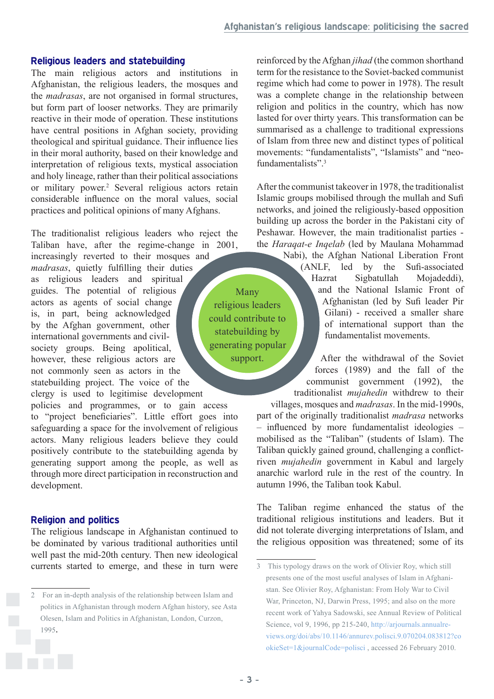#### **Religious leaders and statebuilding**

The main religious actors and institutions in Afghanistan, the religious leaders, the mosques and the *madrasas*, are not organised in formal structures, but form part of looser networks. They are primarily reactive in their mode of operation. These institutions have central positions in Afghan society, providing theological and spiritual guidance. Their influence lies in their moral authority, based on their knowledge and interpretation of religious texts, mystical association and holy lineage, rather than their political associations or military power.<sup>2</sup> Several religious actors retain considerable influence on the moral values, social practices and political opinions of many Afghans.

The traditionalist religious leaders who reject the Taliban have, after the regime-change in 2001,

increasingly reverted to their mosques and *madrasas*, quietly fulfilling their duties as religious leaders and spiritual guides. The potential of religious actors as agents of social change is, in part, being acknowledged by the Afghan government, other international governments and civilsociety groups. Being apolitical, however, these religious actors are not commonly seen as actors in the statebuilding project. The voice of the clergy is used to legitimise development

policies and programmes, or to gain access to "project beneficiaries". Little effort goes into safeguarding a space for the involvement of religious actors. Many religious leaders believe they could positively contribute to the statebuilding agenda by generating support among the people, as well as through more direct participation in reconstruction and development.

#### **Religion and politics**

The religious landscape in Afghanistan continued to be dominated by various traditional authorities until well past the mid-20th century. Then new ideological currents started to emerge, and these in turn were reinforced by the Afghan *jihad* (the common shorthand term for the resistance to the Soviet-backed communist regime which had come to power in 1978). The result was a complete change in the relationship between religion and politics in the country, which has now lasted for over thirty years. This transformation can be summarised as a challenge to traditional expressions of Islam from three new and distinct types of political movements: "fundamentalists", "Islamists" and "neofundamentalists"<sup>3</sup>

After the communist takeover in 1978, the traditionalist Islamic groups mobilised through the mullah and Sufi networks, and joined the religiously-based opposition building up across the border in the Pakistani city of Peshawar. However, the main traditionalist parties the *Haraqat-e Inqelab* (led by Maulana Mohammad

> Nabi), the Afghan National Liberation Front (ANLF, led by the Sufi-associated Hazrat Sigbatullah Mojadeddi), and the National Islamic Front of Afghanistan (led by Sufi leader Pir Gilani) - received a smaller share of international support than the fundamentalist movements.

After the withdrawal of the Soviet forces (1989) and the fall of the communist government (1992), the traditionalist *mujahedin* withdrew to their

villages, mosques and *madrasas*. In the mid-1990s, part of the originally traditionalist *madrasa* networks – influenced by more fundamentalist ideologies – mobilised as the "Taliban" (students of Islam). The Taliban quickly gained ground, challenging a conflictriven *mujahedin* government in Kabul and largely anarchic warlord rule in the rest of the country. In autumn 1996, the Taliban took Kabul.

The Taliban regime enhanced the status of the traditional religious institutions and leaders. But it did not tolerate diverging interpretations of Islam, and the religious opposition was threatened; some of its

Many religious leaders could contribute to statebuilding by generating popular support.

<sup>2</sup> For an in-depth analysis of the relationship between Islam and politics in Afghanistan through modern Afghan history, see Asta Olesen, Islam and Politics in Afghanistan, London, Curzon, 1995.

<sup>3</sup> This typology draws on the work of Olivier Roy, which still presents one of the most useful analyses of Islam in Afghanistan. See Olivier Roy, Afghanistan: From Holy War to Civil War, Princeton, NJ, Darwin Press, 1995; and also on the more recent work of Yahya Sadowski, see Annual Review of Political Science, vol 9, 1996, pp 215-240, [http://arjournals.annualre](http://arjournals.annualreviews.org/doi/abs/10.1146/annurev.polisci.9.070204.083812?cookieSet=1&journalCode=polisci)[views.org/doi/abs/10.1146/annurev.polisci.9.070204.083812?co](http://arjournals.annualreviews.org/doi/abs/10.1146/annurev.polisci.9.070204.083812?cookieSet=1&journalCode=polisci) [okieSet=1&journalCode=polisci](http://arjournals.annualreviews.org/doi/abs/10.1146/annurev.polisci.9.070204.083812?cookieSet=1&journalCode=polisci) , accessed 26 February 2010.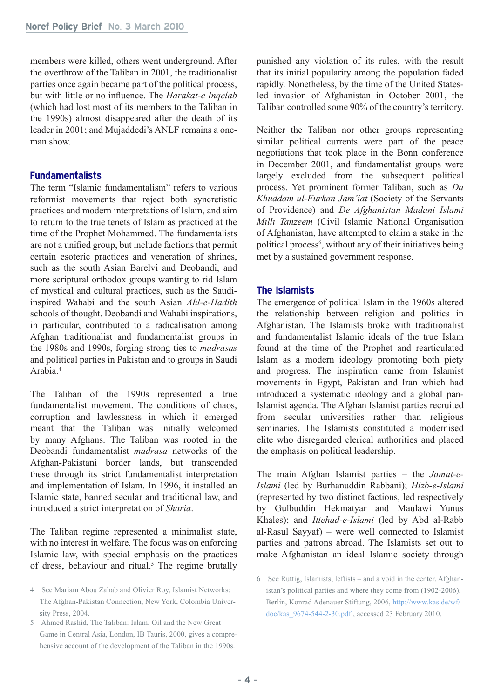members were killed, others went underground. After the overthrow of the Taliban in 2001, the traditionalist parties once again became part of the political process, but with little or no influence. The *Harakat-e Inqelab* (which had lost most of its members to the Taliban in the 1990s) almost disappeared after the death of its leader in 2001; and Mujaddedi's ANLF remains a oneman show.

# **Fundamentalists**

The term "Islamic fundamentalism" refers to various reformist movements that reject both syncretistic practices and modern interpretations of Islam, and aim to return to the true tenets of Islam as practiced at the time of the Prophet Mohammed. The fundamentalists are not a unified group, but include factions that permit certain esoteric practices and veneration of shrines, such as the south Asian Barelvi and Deobandi, and more scriptural orthodox groups wanting to rid Islam of mystical and cultural practices, such as the Saudiinspired Wahabi and the south Asian *Ahl-e-Hadith* schools of thought. Deobandi and Wahabi inspirations, in particular, contributed to a radicalisation among Afghan traditionalist and fundamentalist groups in the 1980s and 1990s, forging strong ties to *madrasas* and political parties in Pakistan and to groups in Saudi Arabia.4

The Taliban of the 1990s represented a true fundamentalist movement. The conditions of chaos, corruption and lawlessness in which it emerged meant that the Taliban was initially welcomed by many Afghans. The Taliban was rooted in the Deobandi fundamentalist *madrasa* networks of the Afghan-Pakistani border lands, but transcended these through its strict fundamentalist interpretation and implementation of Islam. In 1996, it installed an Islamic state, banned secular and traditional law, and introduced a strict interpretation of *Sharia*.

The Taliban regime represented a minimalist state, with no interest in welfare. The focus was on enforcing Islamic law, with special emphasis on the practices of dress, behaviour and ritual.<sup>5</sup> The regime brutally punished any violation of its rules, with the result that its initial popularity among the population faded rapidly. Nonetheless, by the time of the United Statesled invasion of Afghanistan in October 2001, the Taliban controlled some 90% of the country's territory.

Neither the Taliban nor other groups representing similar political currents were part of the peace negotiations that took place in the Bonn conference in December 2001, and fundamentalist groups were largely excluded from the subsequent political process. Yet prominent former Taliban, such as *Da Khuddam ul-Furkan Jam'iat* (Society of the Servants of Providence) and *De Afghanistan Madani Islami Milli Tanzeem* (Civil Islamic National Organisation of Afghanistan, have attempted to claim a stake in the political process<sup>6</sup>, without any of their initiatives being met by a sustained government response.

# **The Islamists**

The emergence of political Islam in the 1960s altered the relationship between religion and politics in Afghanistan. The Islamists broke with traditionalist and fundamentalist Islamic ideals of the true Islam found at the time of the Prophet and rearticulated Islam as a modern ideology promoting both piety and progress. The inspiration came from Islamist movements in Egypt, Pakistan and Iran which had introduced a systematic ideology and a global pan-Islamist agenda. The Afghan Islamist parties recruited from secular universities rather than religious seminaries. The Islamists constituted a modernised elite who disregarded clerical authorities and placed the emphasis on political leadership.

The main Afghan Islamist parties – the *Jamat-e-Islami* (led by Burhanuddin Rabbani); *Hizb-e-Islami* (represented by two distinct factions, led respectively by Gulbuddin Hekmatyar and Maulawi Yunus Khales); and *Ittehad-e-Islami* (led by Abd al-Rabb al-Rasul Sayyaf) – were well connected to Islamist parties and patrons abroad. The Islamists set out to make Afghanistan an ideal Islamic society through

<sup>4</sup> See Mariam Abou Zahab and Olivier Roy, Islamist Networks: The Afghan-Pakistan Connection, New York, Colombia University Press, 2004.

<sup>5</sup> Ahmed Rashid, The Taliban: Islam, Oil and the New Great Game in Central Asia, London, IB Tauris, 2000, gives a comprehensive account of the development of the Taliban in the 1990s.

<sup>6</sup> See Ruttig, Islamists, leftists – and a void in the center. Afghanistan's political parties and where they come from (1902-2006), Berlin, Konrad Adenauer Stiftung, 2006, [http://www.kas.de/wf/](http://www.kas.de/wf/doc/kas_9674-544-2-30.pdf) [doc/kas\\_9674-544-2-30.pdf](http://www.kas.de/wf/doc/kas_9674-544-2-30.pdf) , accessed 23 February 2010.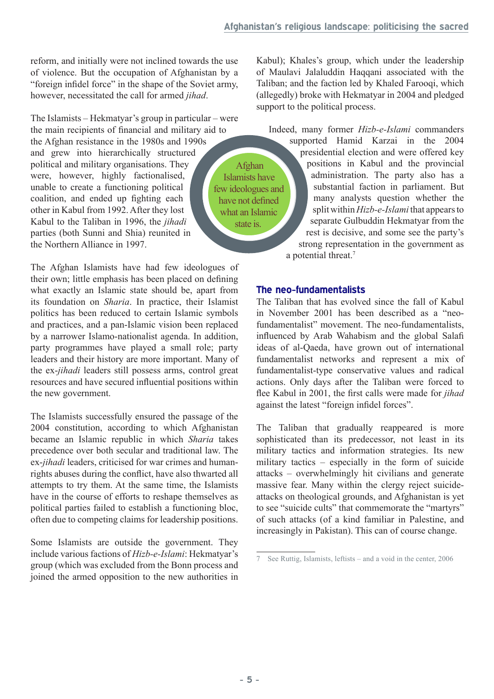reform, and initially were not inclined towards the use of violence. But the occupation of Afghanistan by a "foreign infidel force" in the shape of the Soviet army, however, necessitated the call for armed *jihad*.

The Islamists – Hekmatyar's group in particular – were the main recipients of financial and military aid to the Afghan resistance in the 1980s and 1990s and grew into hierarchically structured political and military organisations. They were, however, highly factionalised, unable to create a functioning political coalition, and ended up fighting each other in Kabul from 1992. After they lost Kabul to the Taliban in 1996, the *jihadi* parties (both Sunni and Shia) reunited in the Northern Alliance in 1997.

The Afghan Islamists have had few ideologues of their own; little emphasis has been placed on defining what exactly an Islamic state should be, apart from its foundation on *Sharia*. In practice, their Islamist politics has been reduced to certain Islamic symbols and practices, and a pan-Islamic vision been replaced by a narrower Islamo-nationalist agenda. In addition, party programmes have played a small role; party leaders and their history are more important. Many of the ex-*jihadi* leaders still possess arms, control great resources and have secured influential positions within the new government.

The Islamists successfully ensured the passage of the 2004 constitution, according to which Afghanistan became an Islamic republic in which *Sharia* takes precedence over both secular and traditional law. The ex-*jihadi* leaders, criticised for war crimes and humanrights abuses during the conflict, have also thwarted all attempts to try them. At the same time, the Islamists have in the course of efforts to reshape themselves as political parties failed to establish a functioning bloc, often due to competing claims for leadership positions.

Some Islamists are outside the government. They include various factions of *Hizb-e-Islami*: Hekmatyar's group (which was excluded from the Bonn process and joined the armed opposition to the new authorities in

Kabul); Khales's group, which under the leadership of Maulavi Jalaluddin Haqqani associated with the Taliban; and the faction led by Khaled Farooqi, which (allegedly) broke with Hekmatyar in 2004 and pledged support to the political process.

Indeed, many former *Hizb-e-Islami* commanders

Afghan Islamists have few ideologues and have not defined what an Islamic state is.

supported Hamid Karzai in the 2004 presidential election and were offered key positions in Kabul and the provincial administration. The party also has a substantial faction in parliament. But many analysts question whether the split within *Hizb-e-Islami* that appears to separate Gulbuddin Hekmatyar from the rest is decisive, and some see the party's strong representation in the government as a potential threat.7

# **The neo-fundamentalists**

The Taliban that has evolved since the fall of Kabul in November 2001 has been described as a "neofundamentalist" movement. The neo-fundamentalists, influenced by Arab Wahabism and the global Salafi ideas of al-Qaeda, have grown out of international fundamentalist networks and represent a mix of fundamentalist-type conservative values and radical actions. Only days after the Taliban were forced to flee Kabul in 2001, the first calls were made for *jihad* against the latest "foreign infidel forces".

The Taliban that gradually reappeared is more sophisticated than its predecessor, not least in its military tactics and information strategies. Its new military tactics – especially in the form of suicide attacks – overwhelmingly hit civilians and generate massive fear. Many within the clergy reject suicideattacks on theological grounds, and Afghanistan is yet to see "suicide cults" that commemorate the "martyrs" of such attacks (of a kind familiar in Palestine, and increasingly in Pakistan). This can of course change.

<sup>7</sup> See Ruttig, Islamists, leftists – and a void in the center, 2006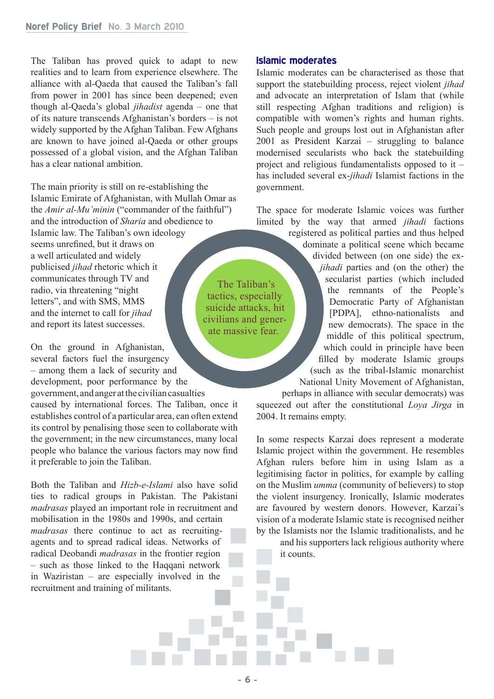The Taliban has proved quick to adapt to new realities and to learn from experience elsewhere. The alliance with al-Qaeda that caused the Taliban's fall from power in 2001 has since been deepened; even though al-Qaeda's global *jihadist* agenda – one that of its nature transcends Afghanistan's borders – is not widely supported by the Afghan Taliban. Few Afghans are known to have joined al-Qaeda or other groups possessed of a global vision, and the Afghan Taliban has a clear national ambition.

The main priority is still on re-establishing the Islamic Emirate of Afghanistan, with Mullah Omar as the *Amir al-Mu'minin* ("commander of the faithful") and the introduction of *Sharia* and obedience to Islamic law. The Taliban's own ideology seems unrefined, but it draws on a well articulated and widely publicised *jihad* rhetoric which it communicates through TV and radio, via threatening "night letters", and with SMS, MMS and the internet to call for *jihad* and report its latest successes.

On the ground in Afghanistan, several factors fuel the insurgency – among them a lack of security and development, poor performance by the

government, and anger at the civilian casualties caused by international forces. The Taliban, once it establishes control of a particular area, can often extend its control by penalising those seen to collaborate with the government; in the new circumstances, many local people who balance the various factors may now find it preferable to join the Taliban.

Both the Taliban and *Hizb-e-Islami* also have solid ties to radical groups in Pakistan. The Pakistani *madrasas* played an important role in recruitment and mobilisation in the 1980s and 1990s, and certain *madrasas* there continue to act as recruitingagents and to spread radical ideas. Networks of radical Deobandi *madrasas* in the frontier region – such as those linked to the Haqqani network in Waziristan – are especially involved in the recruitment and training of militants.

#### **Islamic moderates**

Islamic moderates can be characterised as those that support the statebuilding process, reject violent *jihad* and advocate an interpretation of Islam that (while still respecting Afghan traditions and religion) is compatible with women's rights and human rights. Such people and groups lost out in Afghanistan after 2001 as President Karzai – struggling to balance modernised secularists who back the statebuilding project and religious fundamentalists opposed to it – has included several ex-*jihadi* Islamist factions in the government.

The space for moderate Islamic voices was further limited by the way that armed *jihadi* factions

registered as political parties and thus helped dominate a political scene which became divided between (on one side) the ex*jihadi* parties and (on the other) the secularist parties (which included the remnants of the People's Democratic Party of Afghanistan [PDPA], ethno-nationalists and new democrats). The space in the middle of this political spectrum, which could in principle have been filled by moderate Islamic groups (such as the tribal-Islamic monarchist National Unity Movement of Afghanistan,

perhaps in alliance with secular democrats) was squeezed out after the constitutional *Loya Jirga* in 2004. It remains empty.

In some respects Karzai does represent a moderate Islamic project within the government. He resembles Afghan rulers before him in using Islam as a legitimising factor in politics, for example by calling on the Muslim *umma* (community of believers) to stop the violent insurgency. Ironically, Islamic moderates are favoured by western donors. However, Karzai's vision of a moderate Islamic state is recognised neither by the Islamists nor the Islamic traditionalists, and he

and his supporters lack religious authority where it counts.

The Taliban's tactics, especially suicide attacks, hit civilians and generate massive fear.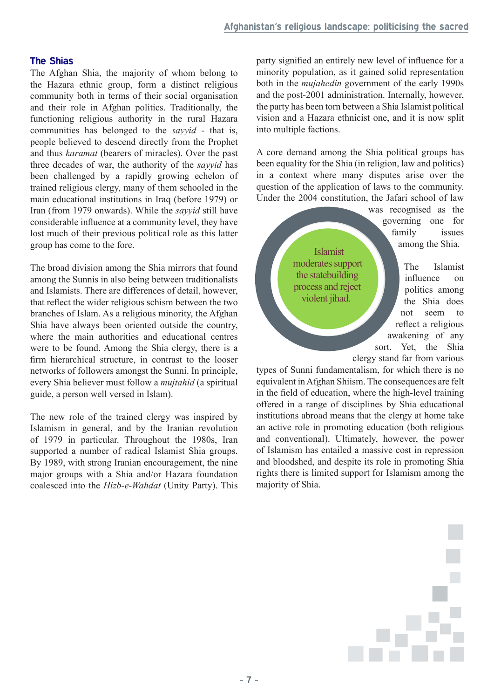#### **The Shias**

The Afghan Shia, the majority of whom belong to the Hazara ethnic group, form a distinct religious community both in terms of their social organisation and their role in Afghan politics. Traditionally, the functioning religious authority in the rural Hazara communities has belonged to the *sayyid* - that is, people believed to descend directly from the Prophet and thus *karamat* (bearers of miracles). Over the past three decades of war, the authority of the *sayyid* has been challenged by a rapidly growing echelon of trained religious clergy, many of them schooled in the main educational institutions in Iraq (before 1979) or Iran (from 1979 onwards). While the *sayyid* still have considerable influence at a community level, they have lost much of their previous political role as this latter group has come to the fore.

The broad division among the Shia mirrors that found among the Sunnis in also being between traditionalists and Islamists. There are differences of detail, however, that reflect the wider religious schism between the two branches of Islam. As a religious minority, the Afghan Shia have always been oriented outside the country, where the main authorities and educational centres were to be found. Among the Shia clergy, there is a firm hierarchical structure, in contrast to the looser networks of followers amongst the Sunni. In principle, every Shia believer must follow a *mujtahid* (a spiritual guide, a person well versed in Islam).

The new role of the trained clergy was inspired by Islamism in general, and by the Iranian revolution of 1979 in particular. Throughout the 1980s, Iran supported a number of radical Islamist Shia groups. By 1989, with strong Iranian encouragement, the nine major groups with a Shia and/or Hazara foundation coalesced into the *Hizb-e-Wahdat* (Unity Party). This party signified an entirely new level of influence for a minority population, as it gained solid representation both in the *mujahedin* government of the early 1990s and the post-2001 administration. Internally, however, the party has been torn between a Shia Islamist political vision and a Hazara ethnicist one, and it is now split into multiple factions.

A core demand among the Shia political groups has been equality for the Shia (in religion, law and politics) in a context where many disputes arise over the question of the application of laws to the community. Under the 2004 constitution, the Jafari school of law

was recognised as the governing one for family issues among the Shia.

Islamist moderates support the statebuilding process and reject violent jihad.

The Islamist influence on politics among the Shia does not seem to reflect a religious awakening of any sort. Yet, the Shia clergy stand far from various

types of Sunni fundamentalism, for which there is no equivalent in Afghan Shiism. The consequences are felt in the field of education, where the high-level training offered in a range of disciplines by Shia educational institutions abroad means that the clergy at home take an active role in promoting education (both religious and conventional). Ultimately, however, the power of Islamism has entailed a massive cost in repression and bloodshed, and despite its role in promoting Shia rights there is limited support for Islamism among the majority of Shia.

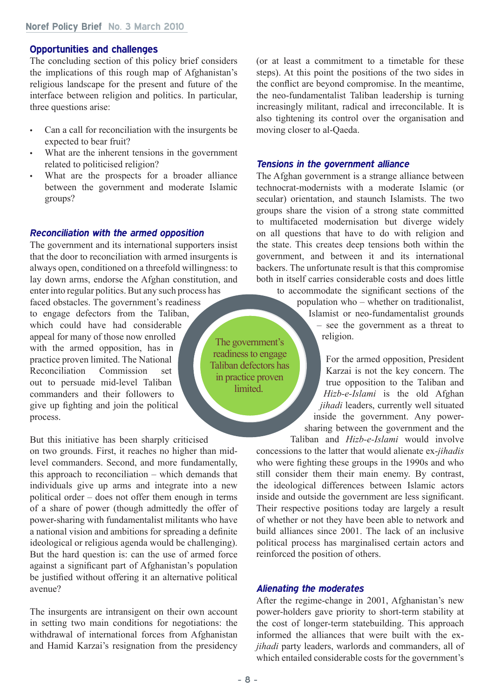#### **Noref Policy Brief No. 3 March 2010**

#### **Opportunities and challenges**

The concluding section of this policy brief considers the implications of this rough map of Afghanistan's religious landscape for the present and future of the interface between religion and politics. In particular, three questions arise:

- • Can a call for reconciliation with the insurgents be expected to bear fruit?
- What are the inherent tensions in the government related to politicised religion?
- What are the prospects for a broader alliance between the government and moderate Islamic groups?

#### *Reconciliation with the armed opposition*

The government and its international supporters insist that the door to reconciliation with armed insurgents is always open, conditioned on a threefold willingness: to lay down arms, endorse the Afghan constitution, and enter into regular politics. But any such process has faced obstacles. The government's readiness to engage defectors from the Taliban, which could have had considerable appeal for many of those now enrolled with the armed opposition, has in practice proven limited. The National Reconciliation Commission set out to persuade mid-level Taliban commanders and their followers to give up fighting and join the political process. The government's readiness to engage Taliban defectors has

But this initiative has been sharply criticised on two grounds. First, it reaches no higher than midlevel commanders. Second, and more fundamentally, this approach to reconciliation – which demands that individuals give up arms and integrate into a new political order – does not offer them enough in terms of a share of power (though admittedly the offer of power-sharing with fundamentalist militants who have a national vision and ambitions for spreading a definite ideological or religious agenda would be challenging). But the hard question is: can the use of armed force against a significant part of Afghanistan's population be justified without offering it an alternative political avenue?

The insurgents are intransigent on their own account in setting two main conditions for negotiations: the withdrawal of international forces from Afghanistan and Hamid Karzai's resignation from the presidency

(or at least a commitment to a timetable for these steps). At this point the positions of the two sides in the conflict are beyond compromise. In the meantime, the neo-fundamentalist Taliban leadership is turning increasingly militant, radical and irreconcilable. It is also tightening its control over the organisation and moving closer to al-Qaeda.

#### *Tensions in the government alliance*

The Afghan government is a strange alliance between technocrat-modernists with a moderate Islamic (or secular) orientation, and staunch Islamists. The two groups share the vision of a strong state committed to multifaceted modernisation but diverge widely on all questions that have to do with religion and the state. This creates deep tensions both within the government, and between it and its international backers. The unfortunate result is that this compromise both in itself carries considerable costs and does little

to accommodate the significant sections of the population who – whether on traditionalist, Islamist or neo-fundamentalist grounds – see the government as a threat to religion.

For the armed opposition, President Karzai is not the key concern. The true opposition to the Taliban and *Hizb-e-Islami* is the old Afghan *jihadi* leaders, currently well situated inside the government. Any powersharing between the government and the Taliban and *Hizb-e-Islami* would involve

concessions to the latter that would alienate ex-*jihadis* who were fighting these groups in the 1990s and who still consider them their main enemy. By contrast, the ideological differences between Islamic actors inside and outside the government are less significant. Their respective positions today are largely a result of whether or not they have been able to network and build alliances since 2001. The lack of an inclusive political process has marginalised certain actors and reinforced the position of others.

#### *Alienating the moderates*

After the regime-change in 2001, Afghanistan's new power-holders gave priority to short-term stability at the cost of longer-term statebuilding. This approach informed the alliances that were built with the ex*jihadi* party leaders, warlords and commanders, all of which entailed considerable costs for the government's

in practice proven **limited**